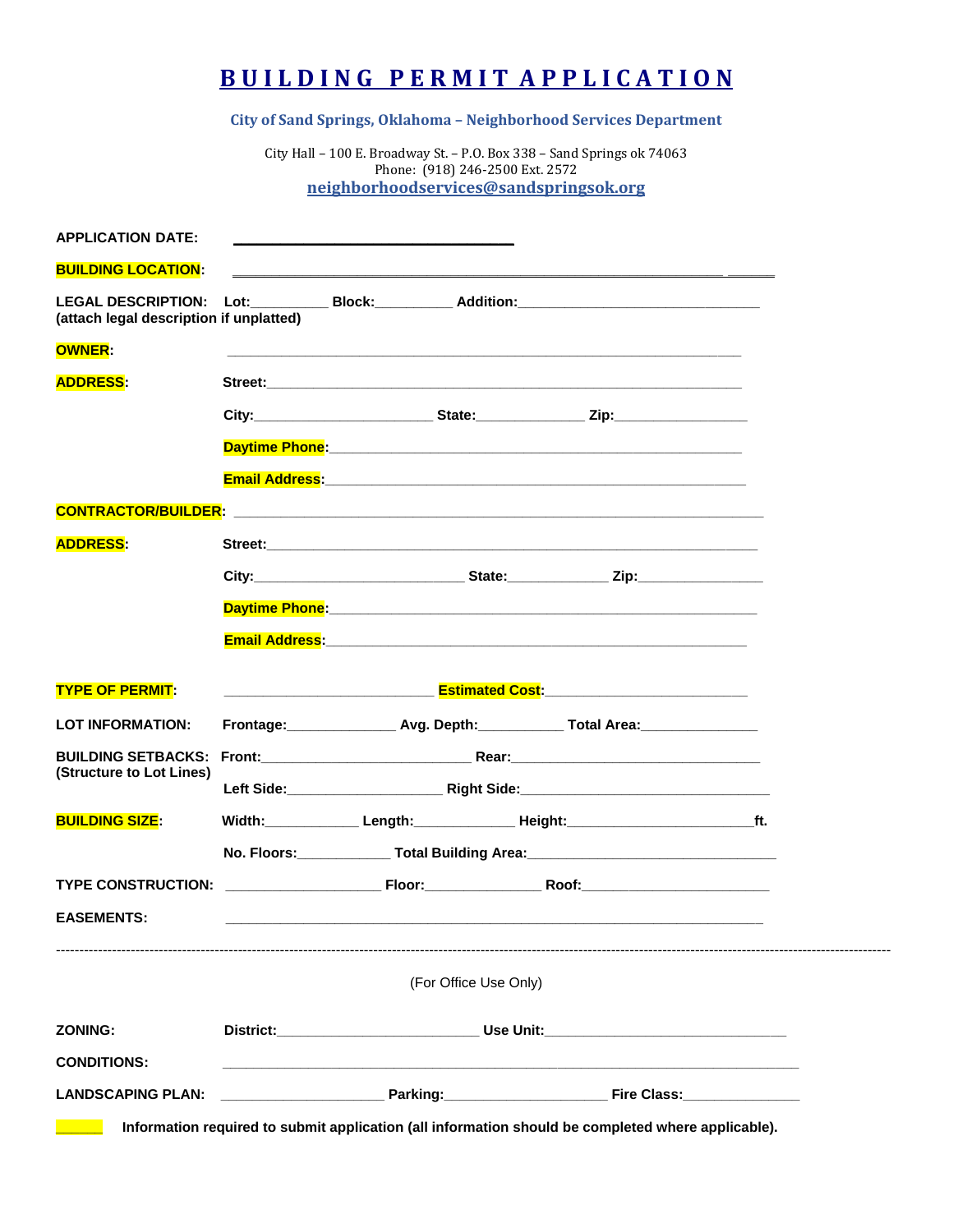## **B U I L D I N G P E R M I T A P P L I C A T I O N**

**City of Sand Springs, Oklahoma – Neighborhood Services Department**

City Hall – 100 E. Broadway St. – P.O. Box 338 – Sand Springs ok 74063 Phone: (918) 246-2500 Ext. 2572 **[neighborhoodservices@sandspringsok.org](mailto:neighborhoodservices@sandspringsok.org)**

| <b>LANDSCAPING PLAN:</b>                   |                                                                                  | ____________________________Parking:______________________________Fire Class:______________________           |  |  |  |
|--------------------------------------------|----------------------------------------------------------------------------------|---------------------------------------------------------------------------------------------------------------|--|--|--|
| <b>CONDITIONS:</b>                         |                                                                                  |                                                                                                               |  |  |  |
| <b>ZONING:</b>                             |                                                                                  | District:__________________________________Use Unit:____________________________                              |  |  |  |
|                                            |                                                                                  | (For Office Use Only)                                                                                         |  |  |  |
| <b>EASEMENTS:</b>                          |                                                                                  |                                                                                                               |  |  |  |
|                                            |                                                                                  |                                                                                                               |  |  |  |
|                                            |                                                                                  | No. Floors: _______________ Total Building Area: _______________________________                              |  |  |  |
| <b>BUILDING SIZE:</b>                      |                                                                                  |                                                                                                               |  |  |  |
| (Structure to Lot Lines)                   |                                                                                  |                                                                                                               |  |  |  |
| <b>BUILDING SETBACKS:</b>                  |                                                                                  |                                                                                                               |  |  |  |
| <b>TYPE OF PERMIT:</b><br>LOT INFORMATION: | Frontage: __________________ Avg. Depth: _____________ Total Area: _____________ |                                                                                                               |  |  |  |
|                                            |                                                                                  |                                                                                                               |  |  |  |
|                                            |                                                                                  | Email Address: 2008. 2009. 2010. 2010. 2010. 2010. 2010. 2010. 2010. 2010. 2010. 2010. 2010. 2010. 2010. 2010 |  |  |  |
|                                            |                                                                                  |                                                                                                               |  |  |  |
|                                            |                                                                                  |                                                                                                               |  |  |  |
| <b>ADDRESS:</b>                            |                                                                                  |                                                                                                               |  |  |  |
|                                            |                                                                                  |                                                                                                               |  |  |  |
|                                            |                                                                                  |                                                                                                               |  |  |  |
|                                            |                                                                                  |                                                                                                               |  |  |  |
| <b>ADDRESS:</b>                            |                                                                                  |                                                                                                               |  |  |  |
| <b>OWNER:</b>                              |                                                                                  |                                                                                                               |  |  |  |
| (attach legal description if unplatted)    |                                                                                  |                                                                                                               |  |  |  |
| <b>BUILDING LOCATION:</b>                  |                                                                                  |                                                                                                               |  |  |  |
|                                            |                                                                                  |                                                                                                               |  |  |  |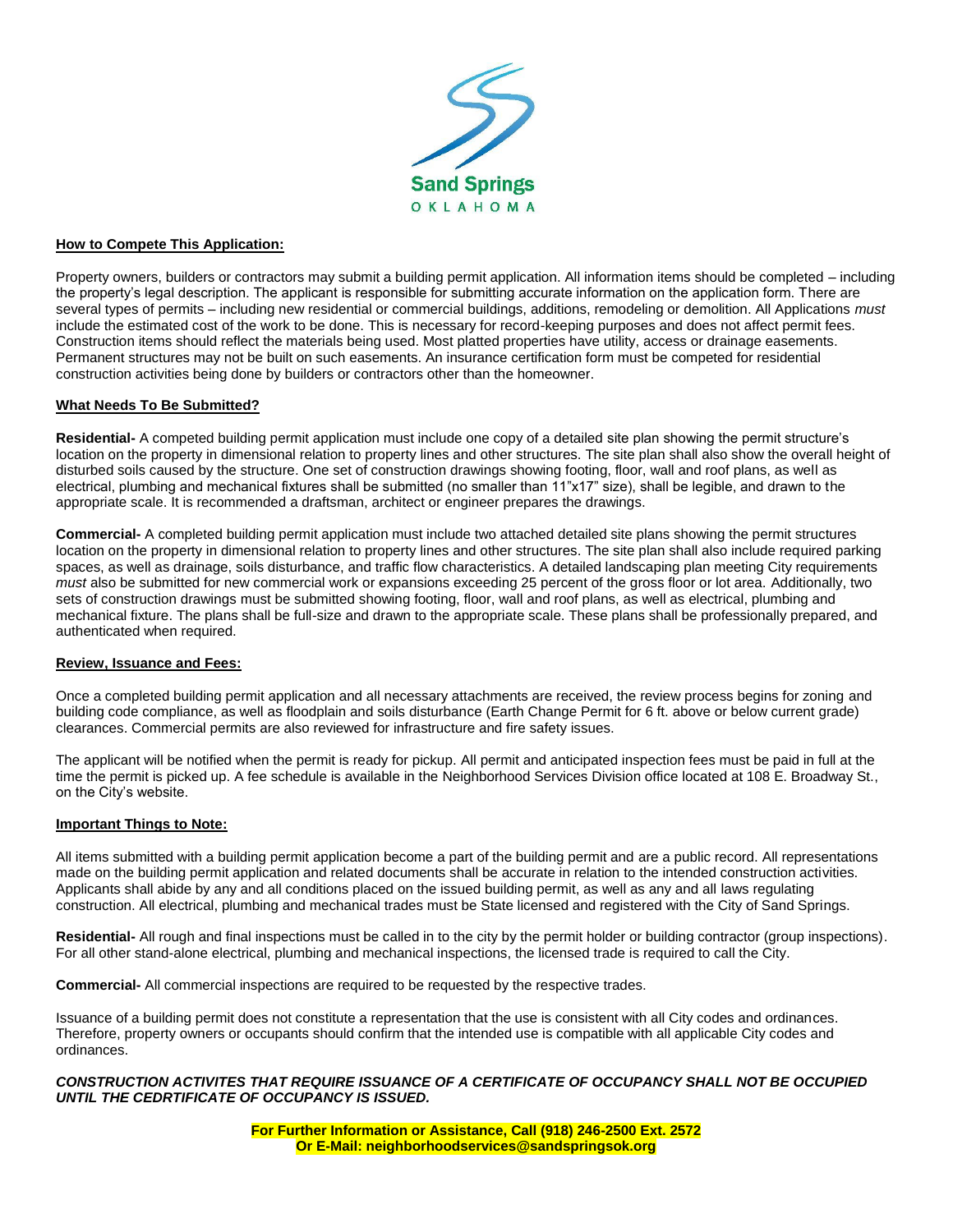

#### **How to Compete This Application:**

Property owners, builders or contractors may submit a building permit application. All information items should be completed – including the property's legal description. The applicant is responsible for submitting accurate information on the application form. There are several types of permits – including new residential or commercial buildings, additions, remodeling or demolition. All Applications *must* include the estimated cost of the work to be done. This is necessary for record-keeping purposes and does not affect permit fees. Construction items should reflect the materials being used. Most platted properties have utility, access or drainage easements. Permanent structures may not be built on such easements. An insurance certification form must be competed for residential construction activities being done by builders or contractors other than the homeowner.

#### **What Needs To Be Submitted?**

**Residential-** A competed building permit application must include one copy of a detailed site plan showing the permit structure's location on the property in dimensional relation to property lines and other structures. The site plan shall also show the overall height of disturbed soils caused by the structure. One set of construction drawings showing footing, floor, wall and roof plans, as well as electrical, plumbing and mechanical fixtures shall be submitted (no smaller than 11"x17" size), shall be legible, and drawn to the appropriate scale. It is recommended a draftsman, architect or engineer prepares the drawings.

**Commercial-** A completed building permit application must include two attached detailed site plans showing the permit structures location on the property in dimensional relation to property lines and other structures. The site plan shall also include required parking spaces, as well as drainage, soils disturbance, and traffic flow characteristics. A detailed landscaping plan meeting City requirements *must* also be submitted for new commercial work or expansions exceeding 25 percent of the gross floor or lot area. Additionally, two sets of construction drawings must be submitted showing footing, floor, wall and roof plans, as well as electrical, plumbing and mechanical fixture. The plans shall be full-size and drawn to the appropriate scale. These plans shall be professionally prepared, and authenticated when required.

#### **Review, Issuance and Fees:**

Once a completed building permit application and all necessary attachments are received, the review process begins for zoning and building code compliance, as well as floodplain and soils disturbance (Earth Change Permit for 6 ft. above or below current grade) clearances. Commercial permits are also reviewed for infrastructure and fire safety issues.

The applicant will be notified when the permit is ready for pickup. All permit and anticipated inspection fees must be paid in full at the time the permit is picked up. A fee schedule is available in the Neighborhood Services Division office located at 108 E. Broadway St., on the City's website.

#### **Important Things to Note:**

All items submitted with a building permit application become a part of the building permit and are a public record. All representations made on the building permit application and related documents shall be accurate in relation to the intended construction activities. Applicants shall abide by any and all conditions placed on the issued building permit, as well as any and all laws regulating construction. All electrical, plumbing and mechanical trades must be State licensed and registered with the City of Sand Springs.

**Residential-** All rough and final inspections must be called in to the city by the permit holder or building contractor (group inspections). For all other stand-alone electrical, plumbing and mechanical inspections, the licensed trade is required to call the City.

**Commercial-** All commercial inspections are required to be requested by the respective trades.

Issuance of a building permit does not constitute a representation that the use is consistent with all City codes and ordinances. Therefore, property owners or occupants should confirm that the intended use is compatible with all applicable City codes and ordinances.

#### *CONSTRUCTION ACTIVITES THAT REQUIRE ISSUANCE OF A CERTIFICATE OF OCCUPANCY SHALL NOT BE OCCUPIED UNTIL THE CEDRTIFICATE OF OCCUPANCY IS ISSUED.*

**For Further Information or Assistance, Call (918) 246-2500 Ext. 2572 Or E-Mail: neighborhoodservices@sandspringsok.org**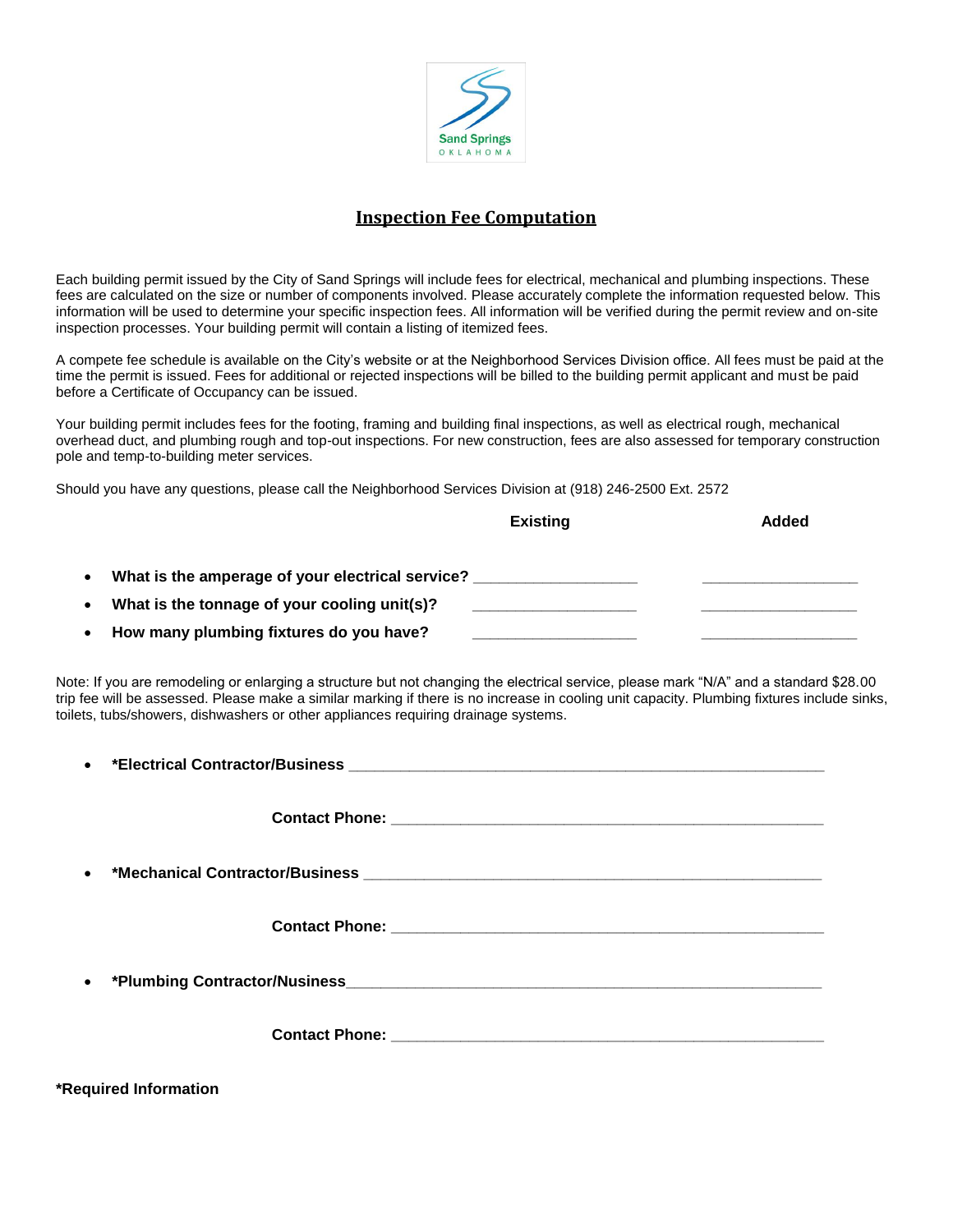

### **Inspection Fee Computation**

Each building permit issued by the City of Sand Springs will include fees for electrical, mechanical and plumbing inspections. These fees are calculated on the size or number of components involved. Please accurately complete the information requested below. This information will be used to determine your specific inspection fees. All information will be verified during the permit review and on-site inspection processes. Your building permit will contain a listing of itemized fees.

A compete fee schedule is available on the City's website or at the Neighborhood Services Division office. All fees must be paid at the time the permit is issued. Fees for additional or rejected inspections will be billed to the building permit applicant and must be paid before a Certificate of Occupancy can be issued.

Your building permit includes fees for the footing, framing and building final inspections, as well as electrical rough, mechanical overhead duct, and plumbing rough and top-out inspections. For new construction, fees are also assessed for temporary construction pole and temp-to-building meter services.

Should you have any questions, please call the Neighborhood Services Division at (918) 246-2500 Ext. 2572

|                                                               | <b>Existing</b> | Added |
|---------------------------------------------------------------|-----------------|-------|
| What is the amperage of your electrical service?<br>$\bullet$ |                 |       |
| What is the tonnage of your cooling unit(s)?<br>$\bullet$     |                 |       |
| How many plumbing fixtures do you have?<br>$\bullet$          |                 |       |

Note: If you are remodeling or enlarging a structure but not changing the electrical service, please mark "N/A" and a standard \$28.00 trip fee will be assessed. Please make a similar marking if there is no increase in cooling unit capacity. Plumbing fixtures include sinks, toilets, tubs/showers, dishwashers or other appliances requiring drainage systems.

| $\bullet$ |  |
|-----------|--|
|           |  |
|           |  |
|           |  |
| $\bullet$ |  |
|           |  |
|           |  |
|           |  |

**\*Required Information**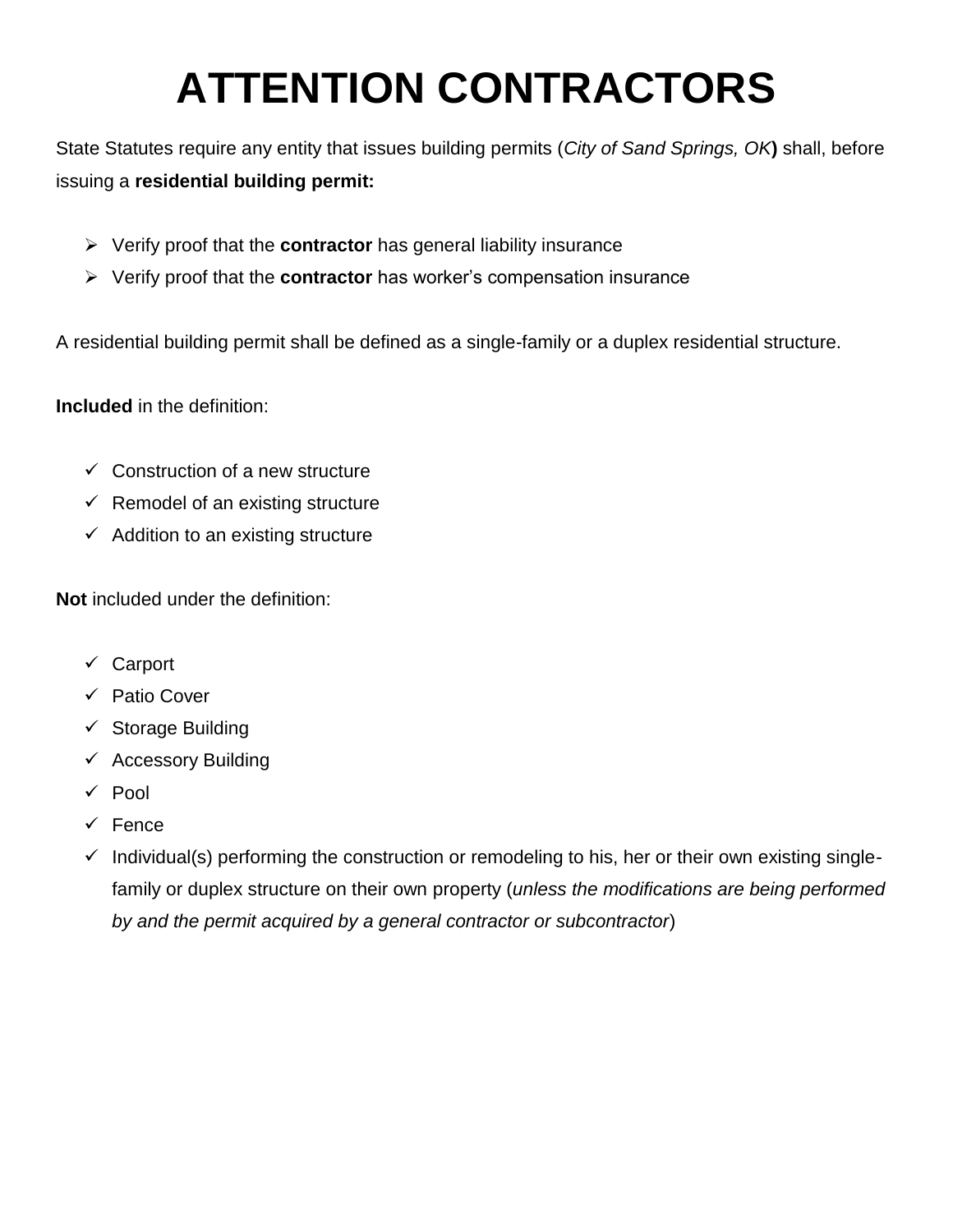# **ATTENTION CONTRACTORS**

State Statutes require any entity that issues building permits (*City of Sand Springs, OK***)** shall, before issuing a **residential building permit:**

- Verify proof that the **contractor** has general liability insurance
- Verify proof that the **contractor** has worker's compensation insurance

A residential building permit shall be defined as a single-family or a duplex residential structure.

**Included** in the definition:

- $\checkmark$  Construction of a new structure
- $\checkmark$  Remodel of an existing structure
- $\checkmark$  Addition to an existing structure

**Not** included under the definition:

- Carport
- **✓ Patio Cover**
- $\checkmark$  Storage Building
- $\checkmark$  Accessory Building
- $\sqrt{P}$  Pool
- $\checkmark$  Fence
- $\checkmark$  Individual(s) performing the construction or remodeling to his, her or their own existing singlefamily or duplex structure on their own property (*unless the modifications are being performed by and the permit acquired by a general contractor or subcontractor*)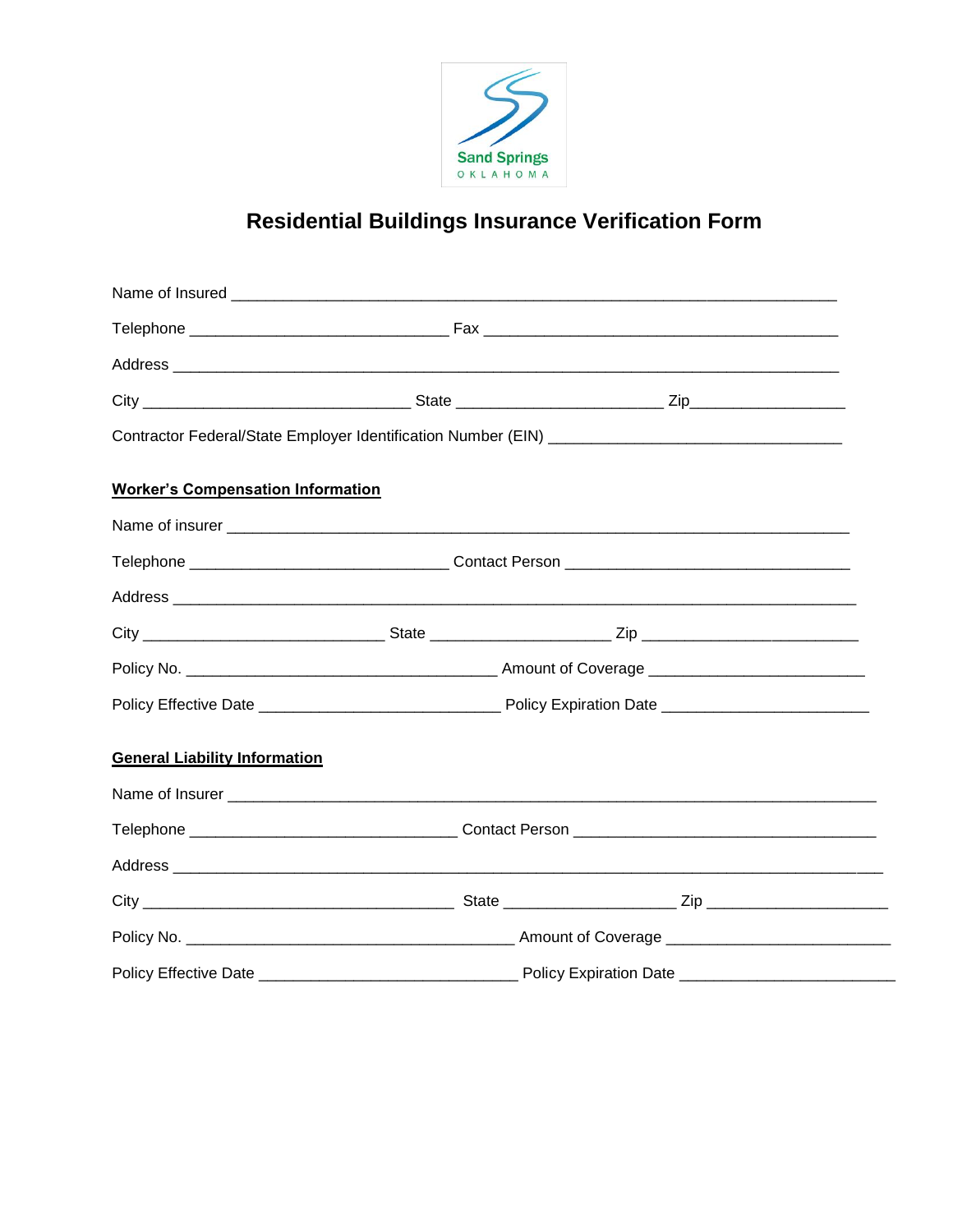

# **Residential Buildings Insurance Verification Form**

| <b>Worker's Compensation Information</b> |  |  |  |  |  |  |
|------------------------------------------|--|--|--|--|--|--|
|                                          |  |  |  |  |  |  |
|                                          |  |  |  |  |  |  |
|                                          |  |  |  |  |  |  |
|                                          |  |  |  |  |  |  |
|                                          |  |  |  |  |  |  |
|                                          |  |  |  |  |  |  |
| <b>General Liability Information</b>     |  |  |  |  |  |  |
|                                          |  |  |  |  |  |  |
|                                          |  |  |  |  |  |  |
|                                          |  |  |  |  |  |  |
|                                          |  |  |  |  |  |  |
|                                          |  |  |  |  |  |  |
|                                          |  |  |  |  |  |  |